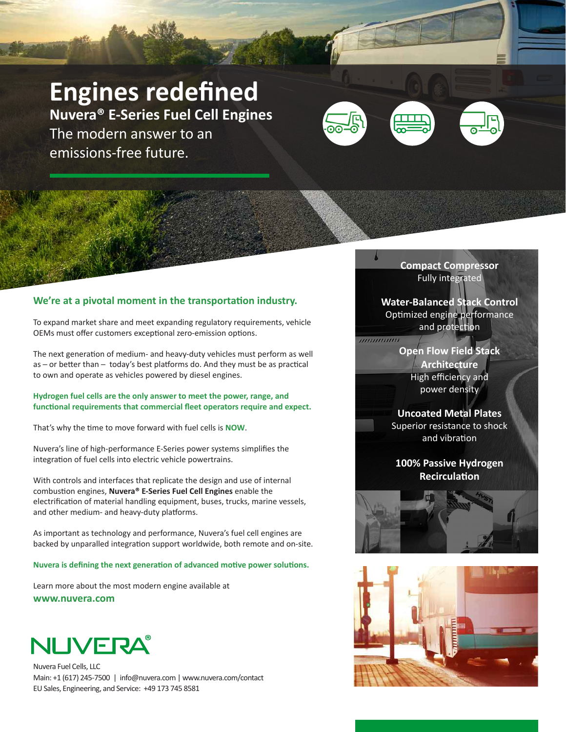# **Engines redefined**

**Nuvera® E-Series Fuel Cell Engines** The modern answer to an emissions-free future.



### **We're at a pivotal moment in the transportation industry.**

To expand market share and meet expanding regulatory requirements, vehicle OEMs must offer customers exceptional zero-emission options.

The next generation of medium- and heavy-duty vehicles must perform as well as - or better than - today's best platforms do. And they must be as practical to own and operate as vehicles powered by diesel engines.

**Hydrogen fuel cells are the only answer to meet the power, range, and functional requirements that commercial fleet operators require and expect.**

That's why the time to move forward with fuel cells is **NOW**.

Nuvera's line of high-performance E-Series power systems simplifies the integration of fuel cells into electric vehicle powertrains.

With controls and interfaces that replicate the design and use of internal combustion engines, **Nuvera® E-Series Fuel Cell Engines** enable the electrification of material handling equipment, buses, trucks, marine vessels, and other medium- and heavy-duty platforms.

As important as technology and performance, Nuvera's fuel cell engines are backed by unparalled integration support worldwide, both remote and on-site.

**Nuvera is defining the next generation of advanced motive power solutions.**

Learn more about the most modern engine available at **www.nuvera.com**



Nuvera Fuel Cells, LLC Main: +1 (617) 245-7500 | info@nuvera.com | www.nuvera.com/contact EU Sales, Engineering, and Service: +49 173 745 8581

**Compact Compressor** Fully integrated

**Water-Balanced Stack Control** Optimized engine performance and protection

> **Open Flow Field Stack Architecture** High efficiency and power density

,,,,,,,,,,,,,,,

### **Uncoated Metal Plates** Superior resistance to shock

and vibration

**100% Passive Hydrogen Recirculation**